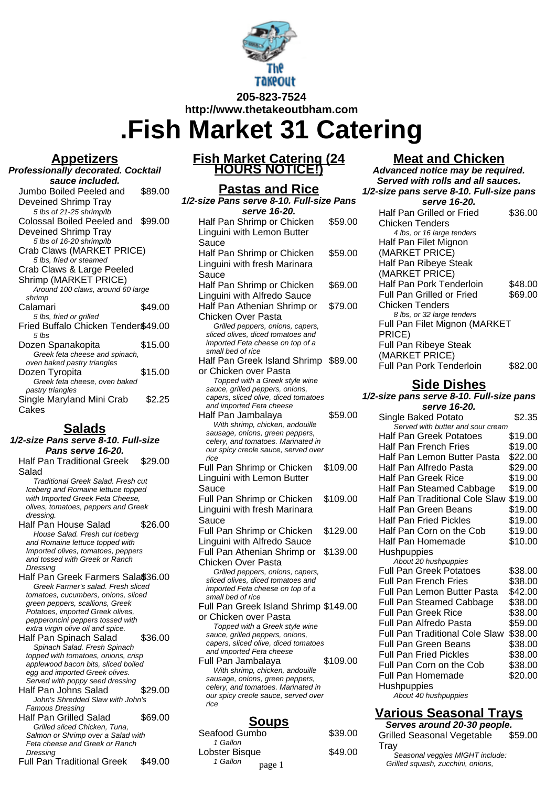

**.Fish Market 31 Catering**

## **Appetizers**

| <b>Professionally decorated. Cocktail</b> |         |
|-------------------------------------------|---------|
| sauce included.                           |         |
| Jumbo Boiled Peeled and                   | \$89.00 |
| Deveined Shrimp Tray                      |         |
| 5 lbs of 21-25 shrimp/lb                  |         |
| Colossal Boiled Peeled and                | \$99.00 |
| Deveined Shrimp Tray                      |         |
| 5 lbs of 16-20 shrimp/lb                  |         |
| Crab Claws (MARKET PRICE)                 |         |
| 5 lbs, fried or steamed                   |         |
| Crab Claws & Large Peeled                 |         |
| Shrimp (MARKET PRICE)                     |         |
| Around 100 claws, around 60 large         |         |
| shrimp<br>Calamari                        | \$49.00 |
| 5 lbs, fried or grilled                   |         |
| Fried Buffalo Chicken Tender\$49.00       |         |
| $5$ lbs                                   |         |
| Dozen Spanakopita                         | \$15.00 |
| Greek feta cheese and spinach,            |         |
| oven baked pastry triangles               |         |
|                                           |         |
| Dozen Tyropita                            | \$15.00 |
| Greek feta cheese, oven baked             |         |
| pastry triangles                          |         |
| Single Maryland Mini Crab<br>Cakes        | \$2.25  |

# **Salads**

| 1/2-size Pans serve 8-10. Full-size                                        |         |
|----------------------------------------------------------------------------|---------|
| Pans serve 16-20.                                                          |         |
| Half Pan Traditional Greek                                                 | \$29.00 |
| Salad                                                                      |         |
| Traditional Greek Salad. Fresh cut                                         |         |
| Iceberg and Romaine lettuce topped                                         |         |
| with Imported Greek Feta Cheese.                                           |         |
| olives, tomatoes, peppers and Greek                                        |         |
| dressing.                                                                  |         |
| Half Pan House Salad                                                       | \$26.00 |
| House Salad. Fresh cut Iceberg                                             |         |
| and Romaine lettuce topped with                                            |         |
| Imported olives, tomatoes, peppers<br>and tossed with Greek or Ranch       |         |
| Dressing                                                                   |         |
| Half Pan Greek Farmers Sala®36.00                                          |         |
| Greek Farmer's salad. Fresh sliced                                         |         |
| tomatoes, cucumbers, onions, sliced                                        |         |
| green peppers, scallions, Greek                                            |         |
| Potatoes, imported Greek olives,                                           |         |
| pepperoncini peppers tossed with                                           |         |
| extra virgin olive oil and spice.                                          |         |
| Half Pan Spinach Salad                                                     | \$36.00 |
| Spinach Salad. Fresh Spinach                                               |         |
| topped with tomatoes, onions, crisp<br>applewood bacon bits, sliced boiled |         |
| egg and imported Greek olives.                                             |         |
| Served with poppy seed dressing                                            |         |
| Half Pan Johns Salad                                                       | \$29.00 |
| John's Shredded Slaw with John's                                           |         |
| <b>Famous Dressing</b>                                                     |         |
| <b>Half Pan Grilled Salad</b>                                              | \$69.00 |
| Grilled sliced Chicken, Tuna,                                              |         |
| Salmon or Shrimp over a Salad with                                         |         |
| Feta cheese and Greek or Ranch                                             |         |
| Dressing                                                                   |         |
| <b>Full Pan Traditional Greek</b>                                          | \$49.00 |

# **Fish Market Catering (24 HOURS NOTICE!)**

**Pastas and Rice**

| 1/2-size Pans serve 8-10. Full-size Pans                         |          |
|------------------------------------------------------------------|----------|
| serve 16-20.                                                     |          |
| Half Pan Shrimp or Chicken                                       | \$59.00  |
| Linguini with Lemon Butter<br>Sauce                              |          |
| Half Pan Shrimp or Chicken                                       | \$59.00  |
| Linguini with fresh Marinara                                     |          |
| Sauce                                                            |          |
| Half Pan Shrimp or Chicken                                       | \$69.00  |
| Linguini with Alfredo Sauce                                      | \$79.00  |
| Half Pan Athenian Shrimp or<br><b>Chicken Over Pasta</b>         |          |
| Grilled peppers, onions, capers,                                 |          |
| sliced olives, diced tomatoes and                                |          |
| imported Feta cheese on top of a<br>small bed of rice            |          |
| Half Pan Greek Island Shrimp \$89.00                             |          |
| or Chicken over Pasta                                            |          |
| Topped with a Greek style wine                                   |          |
| sauce, grilled peppers, onions,                                  |          |
| capers, sliced olive, diced tomatoes<br>and imported Feta cheese |          |
| Half Pan Jambalaya                                               | \$59.00  |
| With shrimp, chicken, andouille                                  |          |
| sausage, onions, green peppers,                                  |          |
| celery, and tomatoes. Marinated in                               |          |
| our spicy creole sauce, served over<br>rice                      |          |
| Full Pan Shrimp or Chicken                                       | \$109.00 |
| Linguini with Lemon Butter                                       |          |
| Sauce                                                            |          |
| Full Pan Shrimp or Chicken                                       | \$109.00 |
| Linguini with fresh Marinara                                     |          |
| Sauce                                                            |          |
| Full Pan Shrimp or Chicken                                       | \$129.00 |
| Linguini with Alfredo Sauce                                      |          |
| Full Pan Athenian Shrimp or                                      | \$139.00 |
| <b>Chicken Over Pasta</b>                                        |          |
| Grilled peppers, onions, capers,                                 |          |
| sliced olives, diced tomatoes and                                |          |
| imported Feta cheese on top of a<br>small bed of rice            |          |
| Full Pan Greek Island Shrimp \$149.00                            |          |
| or Chicken over Pasta                                            |          |
| Topped with a Greek style wine                                   |          |
| sauce, grilled peppers, onions,                                  |          |
| capers, sliced olive, diced tomatoes<br>and imported Feta cheese |          |
| Full Pan Jambalaya                                               | \$109.00 |
| With shrimp, chicken, andouille                                  |          |
| sausage, onions, green peppers,                                  |          |
| celery, and tomatoes. Marinated in                               |          |
| our spicy creole sauce, served over<br>rice                      |          |
|                                                                  |          |
| <u>Soups</u>                                                     |          |
| Seafood Gumbo                                                    | \$39.00  |

| <u>оочрэ</u>       |         |
|--------------------|---------|
| Seafood Gumbo      | \$39.00 |
| 1 Gallon           |         |
| Lobster Bisque     | \$49.00 |
| 1 Gallon<br>page 1 |         |

# **Meat and Chicken**

**Advanced notice may be required. Served with rolls and all sauces. 1/2-size pans serve 8-10. Full-size pans serve 16-20.** Half Pan Grilled or Fried Chicken Tenders \$36.00 4 lbs, or 16 large tenders Half Pan Filet Mignon (MARKET PRICE) Half Pan Ribeye Steak (MARKET PRICE) Half Pan Pork Tenderloin \$48.00 Full Pan Grilled or Fried Chicken Tenders \$69.00 8 lbs, or 32 large tenders Full Pan Filet Mignon (MARKET PRICE) Full Pan Ribeye Steak (MARKET PRICE) Full Pan Pork Tenderloin \$82.00

# **Side Dishes**

#### **1/2-size pans serve 8-10. Full-size pans serve 16-20.**

| JUI VU I U-LU.                        |         |
|---------------------------------------|---------|
| Single Baked Potato                   | \$2.35  |
| Served with butter and sour cream     |         |
| <b>Half Pan Greek Potatoes</b>        | \$19.00 |
| Half Pan French Fries                 | \$19.00 |
| Half Pan Lemon Butter Pasta           | \$22.00 |
| Half Pan Alfredo Pasta                | \$29.00 |
| Half Pan Greek Rice                   | \$19.00 |
| Half Pan Steamed Cabbage              | \$19.00 |
| Half Pan Traditional Cole Slaw        | \$19.00 |
| Half Pan Green Beans                  | \$19.00 |
| <b>Half Pan Fried Pickles</b>         | \$19.00 |
| Half Pan Corn on the Cob              | \$19.00 |
| Half Pan Homemade                     | \$10.00 |
| Hushpuppies                           |         |
| About 20 hushpuppies                  |         |
| <b>Full Pan Greek Potatoes</b>        | \$38.00 |
| <b>Full Pan French Fries</b>          | \$38.00 |
| Full Pan Lemon Butter Pasta           | \$42.00 |
| Full Pan Steamed Cabbage              | \$38.00 |
| <b>Full Pan Greek Rice</b>            | \$38.00 |
| Full Pan Alfredo Pasta                | \$59.00 |
| <b>Full Pan Traditional Cole Slaw</b> | \$38.00 |
| Full Pan Green Beans                  | \$38.00 |
| <b>Full Pan Fried Pickles</b>         | \$38.00 |
| Full Pan Corn on the Cob              | \$38.00 |
| Full Pan Homemade                     | \$20.00 |
| Hushpuppies                           |         |
| About 40 hushpuppies                  |         |

# **Various Seasonal Trays**

**Serves around 20-30 people.** Grilled Seasonal Vegetable **Tray** \$59.00 Seasonal veggies MIGHT include: Grilled squash, zucchini, onions,